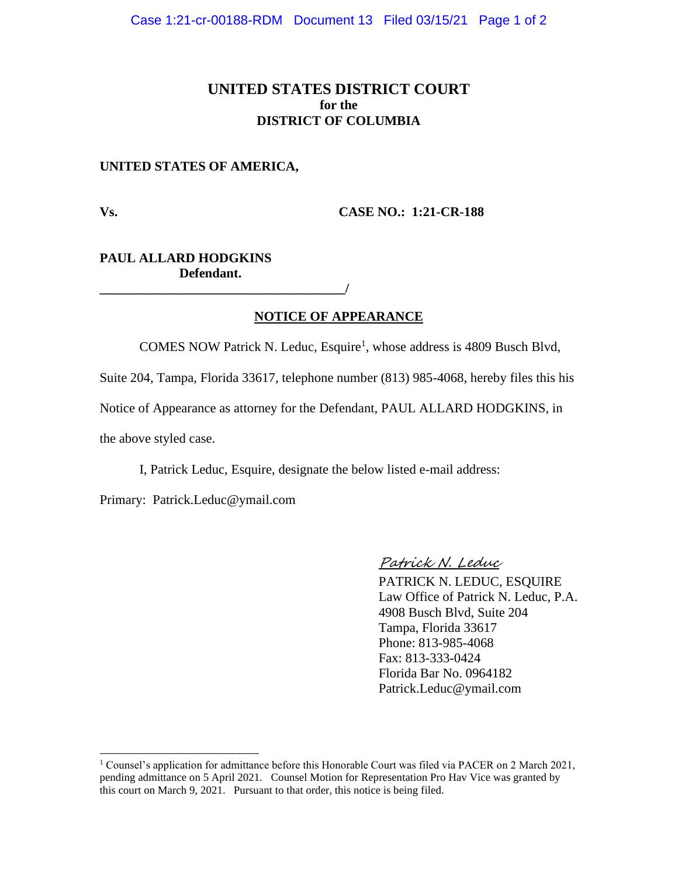## **UNITED STATES DISTRICT COURT for the DISTRICT OF COLUMBIA**

#### **UNITED STATES OF AMERICA,**

**Vs. CASE NO.: 1:21-CR-188**

### **PAUL ALLARD HODGKINS Defendant.**

**\_\_\_\_\_\_\_\_\_\_\_\_\_\_\_\_\_\_\_\_\_\_\_\_\_\_\_\_\_\_\_\_\_\_\_\_\_/**

### **NOTICE OF APPEARANCE**

COMES NOW Patrick N. Leduc, Esquire<sup>1</sup>, whose address is 4809 Busch Blvd,

Suite 204, Tampa, Florida 33617, telephone number (813) 985-4068, hereby files this his

Notice of Appearance as attorney for the Defendant, PAUL ALLARD HODGKINS, in

the above styled case.

I, Patrick Leduc, Esquire, designate the below listed e-mail address:

Primary: Patrick.Leduc@ymail.com

#### Patrick N. Leduc

PATRICK N. LEDUC, ESQUIRE Law Office of Patrick N. Leduc, P.A. 4908 Busch Blvd, Suite 204 Tampa, Florida 33617 Phone: 813-985-4068 Fax: 813-333-0424 Florida Bar No. 0964182 Patrick.Leduc@ymail.com

<sup>1</sup> Counsel's application for admittance before this Honorable Court was filed via PACER on 2 March 2021, pending admittance on 5 April 2021. Counsel Motion for Representation Pro Hav Vice was granted by this court on March 9, 2021. Pursuant to that order, this notice is being filed.